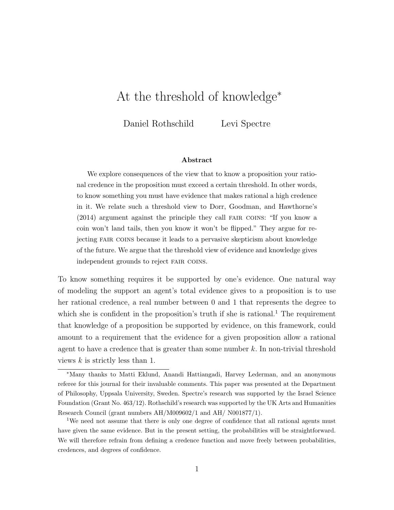# At the threshold of knowledge<sup>∗</sup>

Daniel Rothschild Levi Spectre

#### Abstract

We explore consequences of the view that to know a proposition your rational credence in the proposition must exceed a certain threshold. In other words, to know something you must have evidence that makes rational a high credence in it. We relate such a threshold view to Dorr, Goodman, and Hawthorne's (2014) argument against the principle they call fair coins: "If you know a coin won't land tails, then you know it won't be flipped." They argue for rejecting fair coins because it leads to a pervasive skepticism about knowledge of the future. We argue that the threshold view of evidence and knowledge gives independent grounds to reject fair coins.

To know something requires it be supported by one's evidence. One natural way of modeling the support an agent's total evidence gives to a proposition is to use her rational credence, a real number between 0 and 1 that represents the degree to which she is confident in the proposition's truth if she is rational.<sup>1</sup> The requirement that knowledge of a proposition be supported by evidence, on this framework, could amount to a requirement that the evidence for a given proposition allow a rational agent to have a credence that is greater than some number  $k$ . In non-trivial threshold views  $k$  is strictly less than 1.

<sup>∗</sup>Many thanks to Matti Eklund, Anandi Hattiangadi, Harvey Lederman, and an anonymous referee for this journal for their invaluable comments. This paper was presented at the Department of Philosophy, Uppsala University, Sweden. Spectre's research was supported by the Israel Science Foundation (Grant No. 463/12). Rothschild's research was supported by the UK Arts and Humanities Research Council (grant numbers AH/M009602/1 and AH/ N001877/1).

<sup>&</sup>lt;sup>1</sup>We need not assume that there is only one degree of confidence that all rational agents must have given the same evidence. But in the present setting, the probabilities will be straightforward. We will therefore refrain from defining a credence function and move freely between probabilities, credences, and degrees of confidence.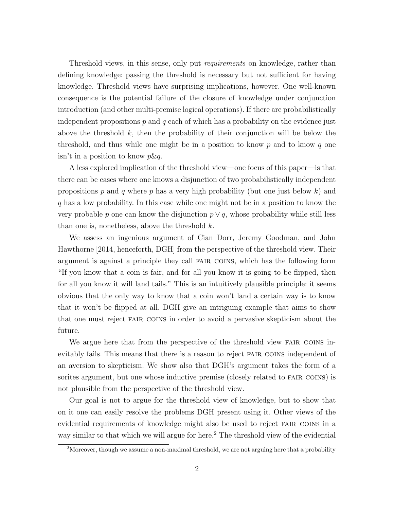Threshold views, in this sense, only put requirements on knowledge, rather than defining knowledge: passing the threshold is necessary but not sufficient for having knowledge. Threshold views have surprising implications, however. One well-known consequence is the potential failure of the closure of knowledge under conjunction introduction (and other multi-premise logical operations). If there are probabilistically independent propositions  $p$  and  $q$  each of which has a probability on the evidence just above the threshold  $k$ , then the probability of their conjunction will be below the threshold, and thus while one might be in a position to know  $p$  and to know  $q$  one  $\sin$ <sup>t</sup> in a position to know  $p\&q$ .

A less explored implication of the threshold view—one focus of this paper—is that there can be cases where one knows a disjunction of two probabilistically independent propositions p and q where p has a very high probability (but one just below k) and q has a low probability. In this case while one might not be in a position to know the very probable p one can know the disjunction  $p \vee q$ , whose probability while still less than one is, nonetheless, above the threshold  $k$ .

We assess an ingenious argument of Cian Dorr, Jeremy Goodman, and John Hawthorne [2014, henceforth, DGH] from the perspective of the threshold view. Their argument is against a principle they call fair coins, which has the following form "If you know that a coin is fair, and for all you know it is going to be flipped, then for all you know it will land tails." This is an intuitively plausible principle: it seems obvious that the only way to know that a coin won't land a certain way is to know that it won't be flipped at all. DGH give an intriguing example that aims to show that one must reject fair coins in order to avoid a pervasive skepticism about the future.

We argue here that from the perspective of the threshold view FAIR COINS inevitably fails. This means that there is a reason to reject fair coins independent of an aversion to skepticism. We show also that DGH's argument takes the form of a sorites argument, but one whose inductive premise (closely related to fair coins) is not plausible from the perspective of the threshold view.

Our goal is not to argue for the threshold view of knowledge, but to show that on it one can easily resolve the problems DGH present using it. Other views of the evidential requirements of knowledge might also be used to reject fair coins in a way similar to that which we will argue for here.<sup>2</sup> The threshold view of the evidential

 $2M$ oreover, though we assume a non-maximal threshold, we are not arguing here that a probability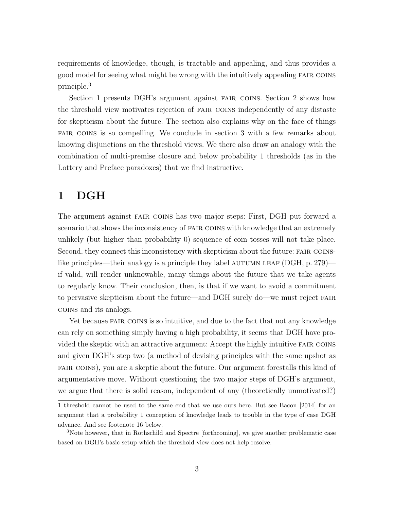requirements of knowledge, though, is tractable and appealing, and thus provides a good model for seeing what might be wrong with the intuitively appealing fair coins principle.<sup>3</sup>

Section 1 presents DGH's argument against fair coins. Section 2 shows how the threshold view motivates rejection of fair coins independently of any distaste for skepticism about the future. The section also explains why on the face of things fair coins is so compelling. We conclude in section 3 with a few remarks about knowing disjunctions on the threshold views. We there also draw an analogy with the combination of multi-premise closure and below probability 1 thresholds (as in the Lottery and Preface paradoxes) that we find instructive.

## 1 DGH

The argument against fair coins has two major steps: First, DGH put forward a scenario that shows the inconsistency of fair coins with knowledge that an extremely unlikely (but higher than probability 0) sequence of coin tosses will not take place. Second, they connect this inconsistency with skepticism about the future: FAIR COINSlike principles—their analogy is a principle they label AUTUMN LEAF (DGH, p. 279) if valid, will render unknowable, many things about the future that we take agents to regularly know. Their conclusion, then, is that if we want to avoid a commitment to pervasive skepticism about the future—and DGH surely do—we must reject fair coins and its analogs.

Yet because FAIR COINS is so intuitive, and due to the fact that not any knowledge can rely on something simply having a high probability, it seems that DGH have provided the skeptic with an attractive argument: Accept the highly intuitive fair coins and given DGH's step two (a method of devising principles with the same upshot as fair coins), you are a skeptic about the future. Our argument forestalls this kind of argumentative move. Without questioning the two major steps of DGH's argument, we argue that there is solid reason, independent of any (theoretically unmotivated?)

<sup>1</sup> threshold cannot be used to the same end that we use ours here. But see Bacon [2014] for an argument that a probability 1 conception of knowledge leads to trouble in the type of case DGH advance. And see footenote 16 below.

<sup>3</sup>Note however, that in Rothschild and Spectre [forthcoming], we give another problematic case based on DGH's basic setup which the threshold view does not help resolve.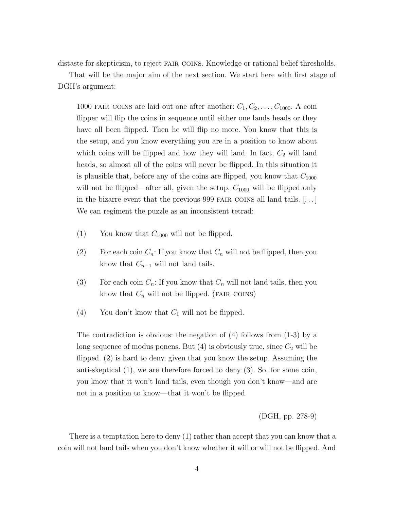distaste for skepticism, to reject fair coins. Knowledge or rational belief thresholds.

That will be the major aim of the next section. We start here with first stage of DGH's argument:

1000 FAIR COINS are laid out one after another:  $C_1, C_2, \ldots, C_{1000}$ . A coin flipper will flip the coins in sequence until either one lands heads or they have all been flipped. Then he will flip no more. You know that this is the setup, and you know everything you are in a position to know about which coins will be flipped and how they will land. In fact,  $C_2$  will land heads, so almost all of the coins will never be flipped. In this situation it is plausible that, before any of the coins are flipped, you know that  $C_{1000}$ will not be flipped—after all, given the setup,  $C_{1000}$  will be flipped only in the bizarre event that the previous 999 FAIR COINS all land tails.  $[\dots]$ We can regiment the puzzle as an inconsistent tetrad:

- (1) You know that  $C_{1000}$  will not be flipped.
- (2) For each coin  $C_n$ : If you know that  $C_n$  will not be flipped, then you know that  $C_{n-1}$  will not land tails.
- (3) For each coin  $C_n$ : If you know that  $C_n$  will not land tails, then you know that  $C_n$  will not be flipped. (FAIR COINS)
- (4) You don't know that  $C_1$  will not be flipped.

The contradiction is obvious: the negation of (4) follows from (1-3) by a long sequence of modus ponens. But  $(4)$  is obviously true, since  $C_2$  will be flipped. (2) is hard to deny, given that you know the setup. Assuming the anti-skeptical (1), we are therefore forced to deny (3). So, for some coin, you know that it won't land tails, even though you don't know—and are not in a position to know—that it won't be flipped.

(DGH, pp. 278-9)

There is a temptation here to deny (1) rather than accept that you can know that a coin will not land tails when you don't know whether it will or will not be flipped. And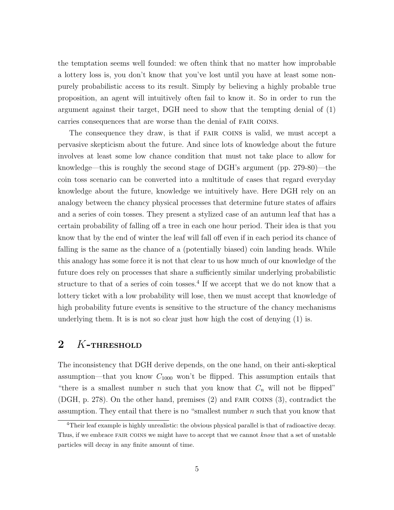the temptation seems well founded: we often think that no matter how improbable a lottery loss is, you don't know that you've lost until you have at least some nonpurely probabilistic access to its result. Simply by believing a highly probable true proposition, an agent will intuitively often fail to know it. So in order to run the argument against their target, DGH need to show that the tempting denial of (1) carries consequences that are worse than the denial of fair coins.

The consequence they draw, is that if FAIR COINS is valid, we must accept a pervasive skepticism about the future. And since lots of knowledge about the future involves at least some low chance condition that must not take place to allow for knowledge—this is roughly the second stage of DGH's argument (pp. 279-80)—the coin toss scenario can be converted into a multitude of cases that regard everyday knowledge about the future, knowledge we intuitively have. Here DGH rely on an analogy between the chancy physical processes that determine future states of affairs and a series of coin tosses. They present a stylized case of an autumn leaf that has a certain probability of falling off a tree in each one hour period. Their idea is that you know that by the end of winter the leaf will fall off even if in each period its chance of falling is the same as the chance of a (potentially biased) coin landing heads. While this analogy has some force it is not that clear to us how much of our knowledge of the future does rely on processes that share a sufficiently similar underlying probabilistic structure to that of a series of coin tosses.<sup>4</sup> If we accept that we do not know that a lottery ticket with a low probability will lose, then we must accept that knowledge of high probability future events is sensitive to the structure of the chancy mechanisms underlying them. It is is not so clear just how high the cost of denying (1) is.

### 2 K-THRESHOLD

The inconsistency that DGH derive depends, on the one hand, on their anti-skeptical assumption—that you know  $C_{1000}$  won't be flipped. This assumption entails that "there is a smallest number n such that you know that  $C_n$  will not be flipped" (DGH, p. 278). On the other hand, premises (2) and fair coins (3), contradict the assumption. They entail that there is no "smallest number  $n$  such that you know that

 $4$ Their leaf example is highly unrealistic: the obvious physical parallel is that of radioactive decay. Thus, if we embrace FAIR COINS we might have to accept that we cannot know that a set of unstable particles will decay in any finite amount of time.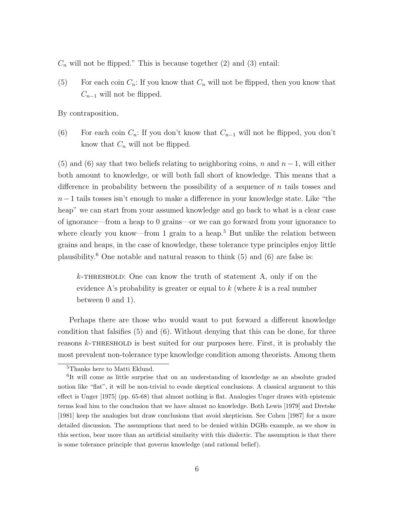$C_n$  will not be flipped." This is because together (2) and (3) entail:

(5) For each coin  $C_n$ : If you know that  $C_n$  will not be flipped, then you know that  $C_{n-1}$  will not be flipped.

By contraposition,

(6) For each coin  $C_n$ : If you don't know that  $C_{n-1}$  will not be flipped, you don't know that  $C_n$  will not be flipped.

(5) and (6) say that two beliefs relating to neighboring coins, n and  $n-1$ , will either both amount to knowledge, or will both fall short of knowledge. This means that a difference in probability between the possibility of a sequence of  $n$  tails tosses and  $n-1$  tails tosses isn't enough to make a difference in your knowledge state. Like "the heap" we can start from your assumed knowledge and go back to what is a clear case of ignorance—from a heap to 0 grains—or we can go forward from your ignorance to where clearly you know—from 1 grain to a heap.<sup>5</sup> But unlike the relation between grains and heaps, in the case of knowledge, these tolerance type principles enjoy little plausibility.<sup>6</sup> One notable and natural reason to think  $(5)$  and  $(6)$  are false is:

 $k$ -THRESHOLD: One can know the truth of statement A, only if on the evidence A's probability is greater or equal to  $k$  (where k is a real number between 0 and 1).

Perhaps there are those who would want to put forward a different knowledge condition that falsifies (5) and (6). Without denying that this can be done, for three reasons  $k$ -THRESHOLD is best suited for our purposes here. First, it is probably the most prevalent non-tolerance type knowledge condition among theorists. Among them

<sup>5</sup>Thanks here to Matti Eklund.

<sup>&</sup>lt;sup>6</sup>It will come as little surprise that on an understanding of knowledge as an absolute graded notion like "flat", it will be non-trivial to evade skeptical conclusions. A classical argument to this effect is Unger [1975] (pp. 65-68) that almost nothing is flat. Analogies Unger draws with epistemic terms lead him to the conclusion that we have almost no knowledge. Both Lewis [1979] and Dretske [1981] keep the analogies but draw conclusions that avoid skepticism. See Cohen [1987] for a more detailed discussion. The assumptions that need to be denied within DGHs example, as we show in this section, bear more than an artificial similarity with this dialectic. The assumption is that there is some tolerance principle that governs knowledge (and rational belief).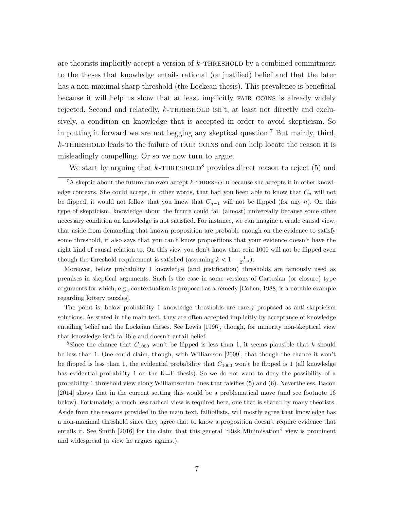are theorists implicitly accept a version of  $k$ -THRESHOLD by a combined commitment to the theses that knowledge entails rational (or justified) belief and that the later has a non-maximal sharp threshold (the Lockean thesis). This prevalence is beneficial because it will help us show that at least implicitly fair coins is already widely rejected. Second and relatedly,  $k$ -THRESHOLD isn't, at least not directly and exclusively, a condition on knowledge that is accepted in order to avoid skepticism. So in putting it forward we are not begging any skeptical question.<sup>7</sup> But mainly, third,  $k$ -THRESHOLD leads to the failure of FAIR COINS and can help locate the reason it is misleadingly compelling. Or so we now turn to argue.

We start by arguing that  $k$ -THRESHOLD<sup>8</sup> provides direct reason to reject (5) and

Moreover, below probability 1 knowledge (and justification) thresholds are famously used as premises in skeptical arguments. Such is the case in some versions of Cartesian (or closure) type arguments for which, e.g., contextualism is proposed as a remedy [Cohen, 1988, is a notable example regarding lottery puzzles].

The point is, below probability 1 knowledge thresholds are rarely proposed as anti-skepticism solutions. As stated in the main text, they are often accepted implicitly by acceptance of knowledge entailing belief and the Lockeian theses. See Lewis [1996], though, for minority non-skeptical view that knowledge isn't fallible and doesn't entail belief.

<sup>8</sup>Since the chance that  $C_{1000}$  won't be flipped is less than 1, it seems plausible that k should be less than 1. One could claim, though, with Williamson [2009], that though the chance it won't be flipped is less than 1, the evidential probability that  $C_{1000}$  won't be flipped is 1 (all knowledge has evidential probability 1 on the K=E thesis). So we do not want to deny the possibility of a probability 1 threshold view along Williamsonian lines that falsifies (5) and (6). Nevertheless, Bacon [2014] shows that in the current setting this would be a problematical move (and see footnote 16 below). Fortunately, a much less radical view is required here, one that is shared by many theorists. Aside from the reasons provided in the main text, fallibilists, will mostly agree that knowledge has a non-maximal threshold since they agree that to know a proposition doesn't require evidence that entails it. See Smith [2016] for the claim that this general "Risk Minimisation" view is prominent and widespread (a view he argues against).

 $7A$  skeptic about the future can even accept k-THRESHOLD because she accepts it in other knowledge contexts. She could accept, in other words, that had you been able to know that  $C_n$  will not be flipped, it would not follow that you knew that  $C_{n-1}$  will not be flipped (for any n). On this type of skepticism, knowledge about the future could fail (almost) universally because some other necessary condition on knowledge is not satisfied. For instance, we can imagine a crude causal view, that aside from demanding that known proposition are probable enough on the evidence to satisfy some threshold, it also says that you can't know propositions that your evidence doesn't have the right kind of causal relation to. On this view you don't know that coin 1000 will not be flipped even though the threshold requirement is satisfied (assuming  $k < 1 - \frac{1}{2^{999}}$ ).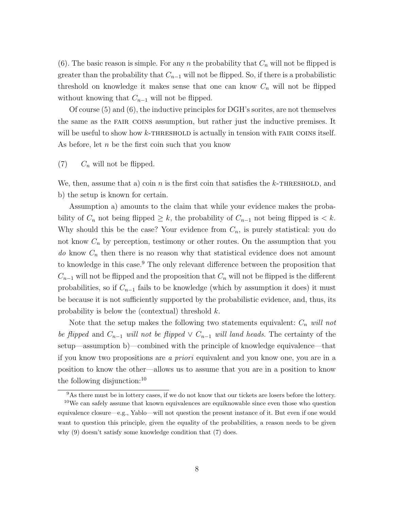(6). The basic reason is simple. For any n the probability that  $C_n$  will not be flipped is greater than the probability that  $C_{n-1}$  will not be flipped. So, if there is a probabilistic threshold on knowledge it makes sense that one can know  $C_n$  will not be flipped without knowing that  $C_{n-1}$  will not be flipped.

Of course (5) and (6), the inductive principles for DGH's sorites, are not themselves the same as the fair coins assumption, but rather just the inductive premises. It will be useful to show how  $k$ -THRESHOLD is actually in tension with FAIR COINS itself. As before, let  $n$  be the first coin such that you know

 $(7)$   $C_n$  will not be flipped.

We, then, assume that a) coin n is the first coin that satisfies the k-THRESHOLD, and b) the setup is known for certain.

Assumption a) amounts to the claim that while your evidence makes the probability of  $C_n$  not being flipped  $\geq k$ , the probability of  $C_{n-1}$  not being flipped is  $\lt k$ . Why should this be the case? Your evidence from  $C_n$ , is purely statistical: you do not know  $C_n$  by perception, testimony or other routes. On the assumption that you do know  $C_n$  then there is no reason why that statistical evidence does not amount to knowledge in this case.<sup>9</sup> The only relevant difference between the proposition that  $C_{n-1}$  will not be flipped and the proposition that  $C_n$  will not be flipped is the different probabilities, so if  $C_{n-1}$  fails to be knowledge (which by assumption it does) it must be because it is not sufficiently supported by the probabilistic evidence, and, thus, its probability is below the (contextual) threshold  $k$ .

Note that the setup makes the following two statements equivalent:  $C_n$  will not be flipped and  $C_{n-1}$  will not be flipped  $\vee C_{n-1}$  will land heads. The certainty of the setup—assumption b)—combined with the principle of knowledge equivalence—that if you know two propositions are a priori equivalent and you know one, you are in a position to know the other—allows us to assume that you are in a position to know the following disjunction:<sup>10</sup>

<sup>9</sup>As there must be in lottery cases, if we do not know that our tickets are losers before the lottery.

<sup>&</sup>lt;sup>10</sup>We can safely assume that known equivalences are equiknowable since even those who question equivalence closure—e.g., Yablo—will not question the present instance of it. But even if one would want to question this principle, given the equality of the probabilities, a reason needs to be given why (9) doesn't satisfy some knowledge condition that (7) does.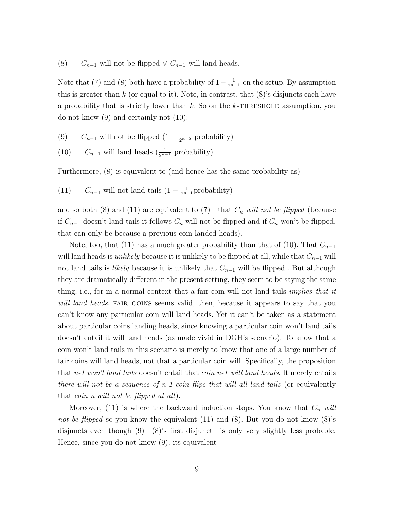(8)  $C_{n-1}$  will not be flipped  $\vee C_{n-1}$  will land heads.

Note that (7) and (8) both have a probability of  $1 - \frac{1}{2^{n-1}}$  on the setup. By assumption this is greater than  $k$  (or equal to it). Note, in contrast, that  $(8)$ 's disjuncts each have a probability that is strictly lower than  $k$ . So on the  $k$ -THRESHOLD assumption, you do not know (9) and certainly not (10):

- (9)  $C_{n-1}$  will not be flipped  $(1 \frac{1}{2^{n-2}})$  probability)
- (10)  $C_{n-1}$  will land heads  $\left(\frac{1}{2^{n-1}} \text{ probability}\right)$ .

Furthermore, (8) is equivalent to (and hence has the same probability as)

(11)  $C_{n-1}$  will not land tails  $(1 - \frac{1}{2^{n-1}} \text{probability})$ 

and so both (8) and (11) are equivalent to  $(7)$ —that  $C_n$  will not be flipped (because if  $C_{n-1}$  doesn't land tails it follows  $C_n$  will not be flipped and if  $C_n$  won't be flipped, that can only be because a previous coin landed heads).

Note, too, that (11) has a much greater probability than that of (10). That  $C_{n-1}$ will land heads is *unlikely* because it is unlikely to be flipped at all, while that  $C_{n-1}$  will not land tails is *likely* because it is unlikely that  $C_{n-1}$  will be flipped. But although they are dramatically different in the present setting, they seem to be saying the same thing, i.e., for in a normal context that a fair coin will not land tails *implies that it* will land heads. FAIR COINS seems valid, then, because it appears to say that you can't know any particular coin will land heads. Yet it can't be taken as a statement about particular coins landing heads, since knowing a particular coin won't land tails doesn't entail it will land heads (as made vivid in DGH's scenario). To know that a coin won't land tails in this scenario is merely to know that one of a large number of fair coins will land heads, not that a particular coin will. Specifically, the proposition that n-1 won't land tails doesn't entail that coin n-1 will land heads. It merely entails there will not be a sequence of  $n-1$  coin flips that will all land tails (or equivalently that coin n will not be flipped at all).

Moreover, (11) is where the backward induction stops. You know that  $C_n$  will not be flipped so you know the equivalent  $(11)$  and  $(8)$ . But you do not know  $(8)$ 's disjuncts even though  $(9)$ — $(8)$ 's first disjunct—is only very slightly less probable. Hence, since you do not know (9), its equivalent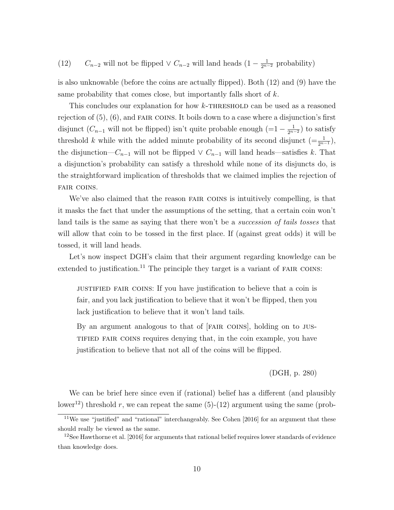(12)  $C_{n-2}$  will not be flipped  $\vee C_{n-2}$  will land heads  $(1 - \frac{1}{2^{n-2}}$  probability)

is also unknowable (before the coins are actually flipped). Both (12) and (9) have the same probability that comes close, but importantly falls short of  $k$ .

This concludes our explanation for how k-THRESHOLD can be used as a reasoned rejection of  $(5)$ ,  $(6)$ , and FAIR COINS. It boils down to a case where a disjunction's first disjunct  $(C_{n-1}$  will not be flipped) isn't quite probable enough  $(=1 - \frac{1}{2^{n-2}})$  to satisfy threshold k while with the added minute probability of its second disjunct  $(=\frac{1}{2^{n-1}})$ , the disjunction— $C_{n-1}$  will not be flipped  $\vee C_{n-1}$  will land heads—satisfies k. That a disjunction's probability can satisfy a threshold while none of its disjuncts do, is the straightforward implication of thresholds that we claimed implies the rejection of fair coins.

We've also claimed that the reason FAIR COINS is intuitively compelling, is that it masks the fact that under the assumptions of the setting, that a certain coin won't land tails is the same as saying that there won't be a *succession of tails tosses* that will allow that coin to be tossed in the first place. If (against great odds) it will be tossed, it will land heads.

Let's now inspect DGH's claim that their argument regarding knowledge can be extended to justification.<sup>11</sup> The principle they target is a variant of FAIR COINS:

justified fair coins: If you have justification to believe that a coin is fair, and you lack justification to believe that it won't be flipped, then you lack justification to believe that it won't land tails.

By an argument analogous to that of [fair coins], holding on to justified fair coins requires denying that, in the coin example, you have justification to believe that not all of the coins will be flipped.

#### (DGH, p. 280)

We can be brief here since even if (rational) belief has a different (and plausibly lower<sup>12</sup>) threshold r, we can repeat the same  $(5)-(12)$  argument using the same (prob-

 $11$ We use "justified" and "rational" interchangeably. See Cohen [2016] for an argument that these should really be viewed as the same.

 $12$ See Hawthorne et al. [2016] for arguments that rational belief requires lower standards of evidence than knowledge does.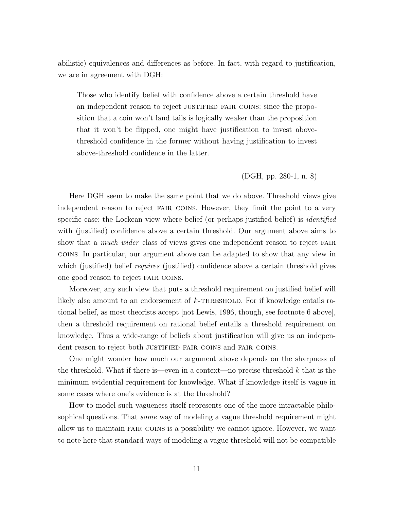abilistic) equivalences and differences as before. In fact, with regard to justification, we are in agreement with DGH:

Those who identify belief with confidence above a certain threshold have an independent reason to reject justified fair coins: since the proposition that a coin won't land tails is logically weaker than the proposition that it won't be flipped, one might have justification to invest abovethreshold confidence in the former without having justification to invest above-threshold confidence in the latter.

#### (DGH, pp. 280-1, n. 8)

Here DGH seem to make the same point that we do above. Threshold views give independent reason to reject fair coins. However, they limit the point to a very specific case: the Lockean view where belief (or perhaps justified belief) is *identified* with (justified) confidence above a certain threshold. Our argument above aims to show that a *much wider* class of views gives one independent reason to reject FAIR coins. In particular, our argument above can be adapted to show that any view in which (justified) belief *requires* (justified) confidence above a certain threshold gives one good reason to reject fair coins.

Moreover, any such view that puts a threshold requirement on justified belief will likely also amount to an endorsement of  $k$ -THRESHOLD. For if knowledge entails rational belief, as most theorists accept [not Lewis, 1996, though, see footnote 6 above], then a threshold requirement on rational belief entails a threshold requirement on knowledge. Thus a wide-range of beliefs about justification will give us an independent reason to reject both JUSTIFIED FAIR COINS and FAIR COINS.

One might wonder how much our argument above depends on the sharpness of the threshold. What if there is—even in a context—no precise threshold  $k$  that is the minimum evidential requirement for knowledge. What if knowledge itself is vague in some cases where one's evidence is at the threshold?

How to model such vagueness itself represents one of the more intractable philosophical questions. That *some* way of modeling a vague threshold requirement might allow us to maintain fair coins is a possibility we cannot ignore. However, we want to note here that standard ways of modeling a vague threshold will not be compatible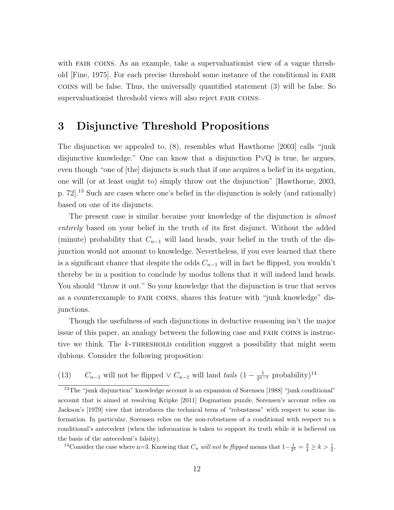with FAIR COINS. As an example, take a supervaluationist view of a vague threshold [Fine, 1975]. For each precise threshold some instance of the conditional in fair coins will be false. Thus, the universally quantified statement (3) will be false. So supervaluationist threshold views will also reject FAIR COINS.

### 3 Disjunctive Threshold Propositions

The disjunction we appealed to, (8), resembles what Hawthorne [2003] calls "junk disjunctive knowledge." One can know that a disjunction P∨Q is true, he argues, even though "one of [the] disjuncts is such that if one acquires a belief in its negation, one will (or at least ought to) simply throw out the disjunction" [Hawthorne, 2003, p. 72].<sup>13</sup> Such are cases where one's belief in the disjunction is solely (and rationally) based on one of its disjuncts.

The present case is similar because your knowledge of the disjunction is *almost* entirely based on your belief in the truth of its first disjunct. Without the added (minute) probability that  $C_{n-1}$  will land heads, your belief in the truth of the disjunction would not amount to knowledge. Nevertheless, if you ever learned that there is a significant chance that despite the odds  $C_{n-1}$  will in fact be flipped, you wouldn't thereby be in a position to conclude by modus tollens that it will indeed land heads. You should "throw it out." So your knowledge that the disjunction is true that serves as a counterexample to fair coins, shares this feature with "junk knowledge" disjunctions.

Though the usefulness of such disjunctions in deductive reasoning isn't the major issue of this paper, an analogy between the following case and fair coins is instructive we think. The  $k$ -THRESHOLD condition suggest a possibility that might seem dubious. Consider the following proposition:

(13)  $C_{n-1}$  will not be flipped  $\vee C_{n-1}$  will land tails  $(1 - \frac{1}{2^{n-1}} \text{ probability})^{14}$ 

<sup>14</sup>Consider the case where n=3. Knowing that  $C_n$  will not be flipped means that  $1-\frac{1}{2^2}=\frac{3}{4}\geq k>\frac{1}{2}$ .

<sup>&</sup>lt;sup>13</sup>The "junk disjunction" knowledge account is an expansion of Sorensen [1988] "junk conditional" account that is aimed at resolving Kripke [2011] Dogmatism puzzle. Sorensen's account relies on Jackson's [1979] view that introduces the technical term of "robustness" with respect to some information. In particular, Sorensen relies on the non-robustness of a conditional with respect to a conditional's antecedent (when the information is taken to support its truth while it is believed on the basis of the antecedent's falsity).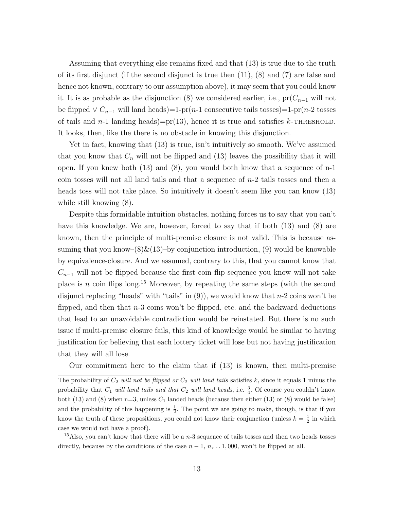Assuming that everything else remains fixed and that (13) is true due to the truth of its first disjunct (if the second disjunct is true then  $(11)$ ,  $(8)$  and  $(7)$  are false and hence not known, contrary to our assumption above), it may seem that you could know it. It is as probable as the disjunction (8) we considered earlier, i.e.,  $pr(C_{n-1}$  will not be flipped ∨  $C_{n-1}$  will land heads)=1-pr(n-1 consecutive tails tosses)=1-pr(n-2 tosses of tails and  $n-1$  landing heads)=pr(13), hence it is true and satisfies k-THRESHOLD. It looks, then, like the there is no obstacle in knowing this disjunction.

Yet in fact, knowing that (13) is true, isn't intuitively so smooth. We've assumed that you know that  $C_n$  will not be flipped and (13) leaves the possibility that it will open. If you knew both (13) and (8), you would both know that a sequence of n-1 coin tosses will not all land tails and that a sequence of  $n-2$  tails tosses and then a heads toss will not take place. So intuitively it doesn't seem like you can know (13) while still knowing (8).

Despite this formidable intuition obstacles, nothing forces us to say that you can't have this knowledge. We are, however, forced to say that if both  $(13)$  and  $(8)$  are known, then the principle of multi-premise closure is not valid. This is because assuming that you know– $(8)\&(13)$ –by conjunction introduction, (9) would be knowable by equivalence-closure. And we assumed, contrary to this, that you cannot know that  $C_{n-1}$  will not be flipped because the first coin flip sequence you know will not take place is n coin flips long.<sup>15</sup> Moreover, by repeating the same steps (with the second disjunct replacing "heads" with "tails" in  $(9)$ ), we would know that  $n-2$  coins won't be flipped, and then that  $n-3$  coins won't be flipped, etc. and the backward deductions that lead to an unavoidable contradiction would be reinstated. But there is no such issue if multi-premise closure fails, this kind of knowledge would be similar to having justification for believing that each lottery ticket will lose but not having justification that they will all lose.

Our commitment here to the claim that if (13) is known, then multi-premise

The probability of  $C_2$  will not be flipped or  $C_2$  will land tails satisfies k, since it equals 1 minus the probability that  $C_1$  *will land tails and that*  $C_2$  *will land heads*, i.e.  $\frac{3}{4}$ . Of course you couldn't know both (13) and (8) when  $n=3$ , unless  $C_1$  landed heads (because then either (13) or (8) would be false) and the probability of this happening is  $\frac{1}{2}$ . The point we are going to make, though, is that if you know the truth of these propositions, you could not know their conjunction (unless  $k = \frac{1}{2}$  in which case we would not have a proof).

<sup>&</sup>lt;sup>15</sup>Also, you can't know that there will be a  $n-3$  sequence of tails tosses and then two heads tosses directly, because by the conditions of the case  $n-1, n, \ldots 1, 000$ , won't be flipped at all.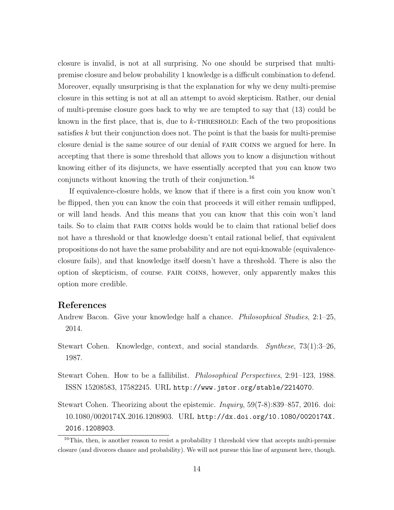closure is invalid, is not at all surprising. No one should be surprised that multipremise closure and below probability 1 knowledge is a difficult combination to defend. Moreover, equally unsurprising is that the explanation for why we deny multi-premise closure in this setting is not at all an attempt to avoid skepticism. Rather, our denial of multi-premise closure goes back to why we are tempted to say that (13) could be known in the first place, that is, due to  $k$ -THRESHOLD: Each of the two propositions satisfies  $k$  but their conjunction does not. The point is that the basis for multi-premise closure denial is the same source of our denial of fair coins we argued for here. In accepting that there is some threshold that allows you to know a disjunction without knowing either of its disjuncts, we have essentially accepted that you can know two conjuncts without knowing the truth of their conjunction.<sup>16</sup>

If equivalence-closure holds, we know that if there is a first coin you know won't be flipped, then you can know the coin that proceeds it will either remain unflipped, or will land heads. And this means that you can know that this coin won't land tails. So to claim that fair coins holds would be to claim that rational belief does not have a threshold or that knowledge doesn't entail rational belief, that equivalent propositions do not have the same probability and are not equi-knowable (equivalenceclosure fails), and that knowledge itself doesn't have a threshold. There is also the option of skepticism, of course. fair coins, however, only apparently makes this option more credible.

### References

- Andrew Bacon. Give your knowledge half a chance. Philosophical Studies, 2:1–25, 2014.
- Stewart Cohen. Knowledge, context, and social standards. Synthese, 73(1):3–26, 1987.
- Stewart Cohen. How to be a fallibilist. Philosophical Perspectives, 2:91–123, 1988. ISSN 15208583, 17582245. URL http://www.jstor.org/stable/2214070.
- Stewart Cohen. Theorizing about the epistemic. Inquiry, 59(7-8):839–857, 2016. doi: 10.1080/0020174X.2016.1208903. URL http://dx.doi.org/10.1080/0020174X. 2016.1208903.

<sup>&</sup>lt;sup>16</sup>This, then, is another reason to resist a probability 1 threshold view that accepts multi-premise closure (and divorces chance and probability). We will not pursue this line of argument here, though.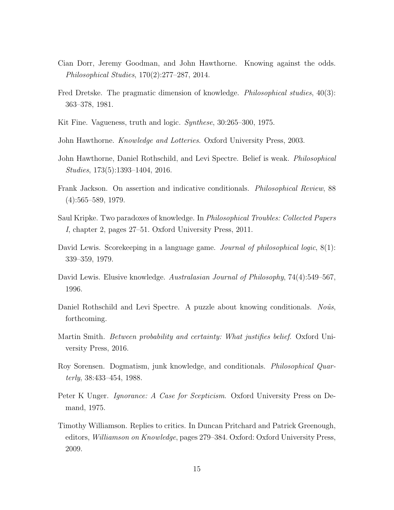- Cian Dorr, Jeremy Goodman, and John Hawthorne. Knowing against the odds. Philosophical Studies, 170(2):277–287, 2014.
- Fred Dretske. The pragmatic dimension of knowledge. *Philosophical studies*, 40(3): 363–378, 1981.
- Kit Fine. Vagueness, truth and logic. Synthese, 30:265–300, 1975.
- John Hawthorne. *Knowledge and Lotteries*. Oxford University Press, 2003.
- John Hawthorne, Daniel Rothschild, and Levi Spectre. Belief is weak. *Philosophical* Studies, 173(5):1393–1404, 2016.
- Frank Jackson. On assertion and indicative conditionals. Philosophical Review, 88 (4):565–589, 1979.
- Saul Kripke. Two paradoxes of knowledge. In Philosophical Troubles: Collected Papers I, chapter 2, pages 27–51. Oxford University Press, 2011.
- David Lewis. Scorekeeping in a language game. *Journal of philosophical logic*,  $8(1)$ : 339–359, 1979.
- David Lewis. Elusive knowledge. Australasian Journal of Philosophy, 74(4):549–567, 1996.
- Daniel Rothschild and Levi Spectre. A puzzle about knowing conditionals. Noûs, forthcoming.
- Martin Smith. Between probability and certainty: What justifies belief. Oxford University Press, 2016.
- Roy Sorensen. Dogmatism, junk knowledge, and conditionals. Philosophical Quarterly, 38:433–454, 1988.
- Peter K Unger. *Ignorance: A Case for Scepticism*. Oxford University Press on Demand, 1975.
- Timothy Williamson. Replies to critics. In Duncan Pritchard and Patrick Greenough, editors, Williamson on Knowledge, pages 279–384. Oxford: Oxford University Press, 2009.